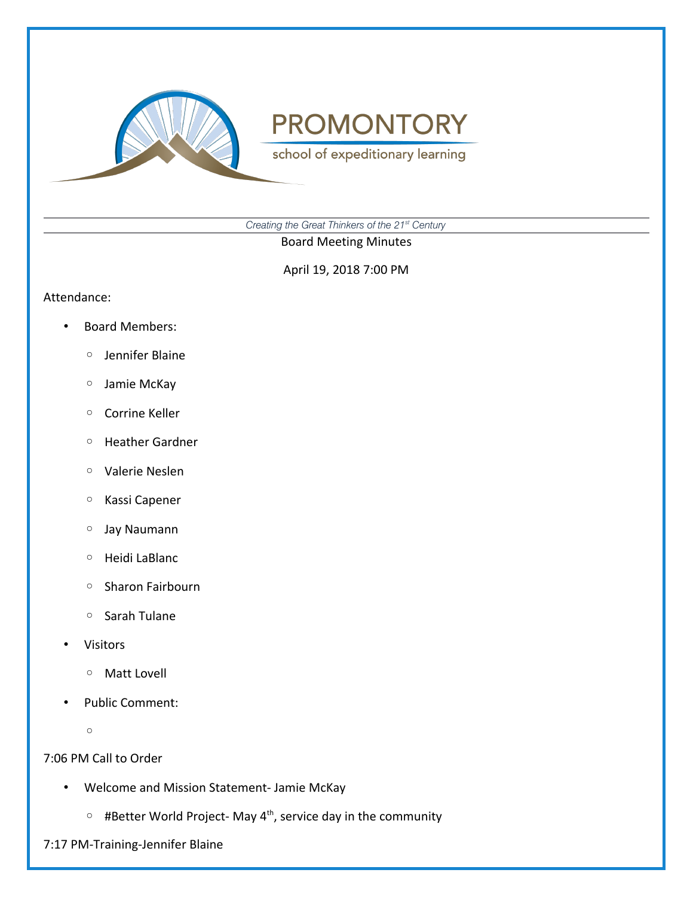

school of expeditionary learning

*Creating the Great Thinkers of the 21st Century*

Board Meeting Minutes

April 19, 2018 7:00 PM

### Attendance:

- Board Members:
	- Jennifer Blaine
	- Jamie McKay
	- Corrine Keller
	- Heather Gardner
	- Valerie Neslen
	- Kassi Capener
	- Jay Naumann
	- Heidi LaBlanc
	- Sharon Fairbourn
	- Sarah Tulane
- **Visitors** 
	- Matt Lovell
- Public Comment:
	- $\circ$

### 7:06 PM Call to Order

- Welcome and Mission Statement- Jamie McKay
	- #Better World Project- May 4th, service day in the community
- 7:17 PM-Training-Jennifer Blaine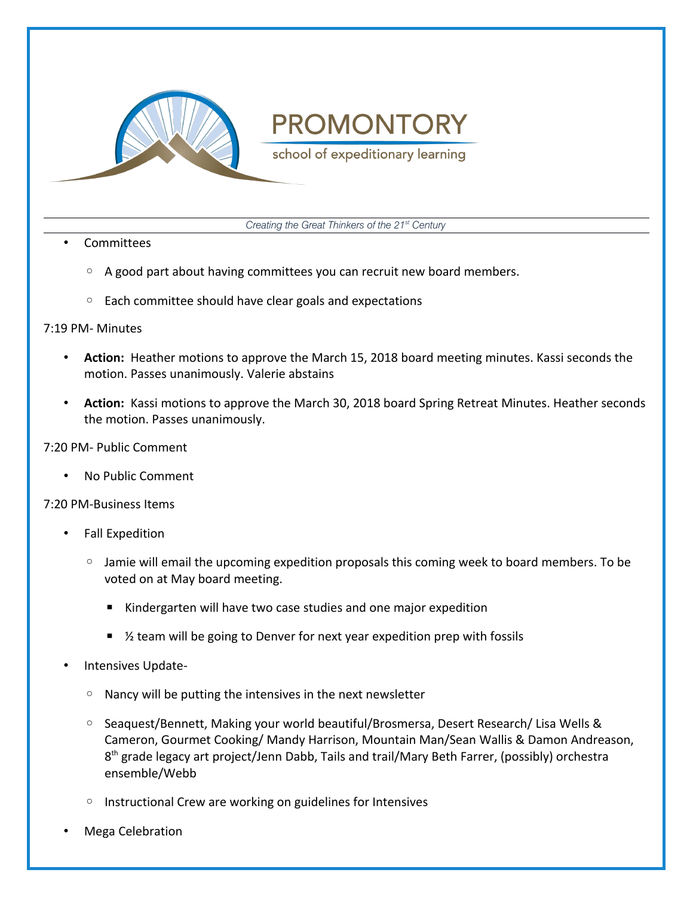

school of expeditionary learning

*Creating the Great Thinkers of the 21st Century*

### • Committees

- A good part about having committees you can recruit new board members.
- Each committee should have clear goals and expectations

### 7:19 PM- Minutes

- **Action:** Heather motions to approve the March 15, 2018 board meeting minutes. Kassi seconds the motion. Passes unanimously. Valerie abstains
- **Action:** Kassi motions to approve the March 30, 2018 board Spring Retreat Minutes. Heather seconds the motion. Passes unanimously.

### 7:20 PM- Public Comment

• No Public Comment

### 7:20 PM-Business Items

- Fall Expedition
	- Jamie will email the upcoming expedition proposals this coming week to board members. To be voted on at May board meeting.
		- Kindergarten will have two case studies and one major expedition
		- $%$  team will be going to Denver for next year expedition prep with fossils
- Intensives Update-
	- Nancy will be putting the intensives in the next newsletter
	- Seaquest/Bennett, Making your world beautiful/Brosmersa, Desert Research/ Lisa Wells & Cameron, Gourmet Cooking/ Mandy Harrison, Mountain Man/Sean Wallis & Damon Andreason, 8<sup>th</sup> grade legacy art project/Jenn Dabb, Tails and trail/Mary Beth Farrer, (possibly) orchestra ensemble/Webb
	- Instructional Crew are working on guidelines for Intensives
- Mega Celebration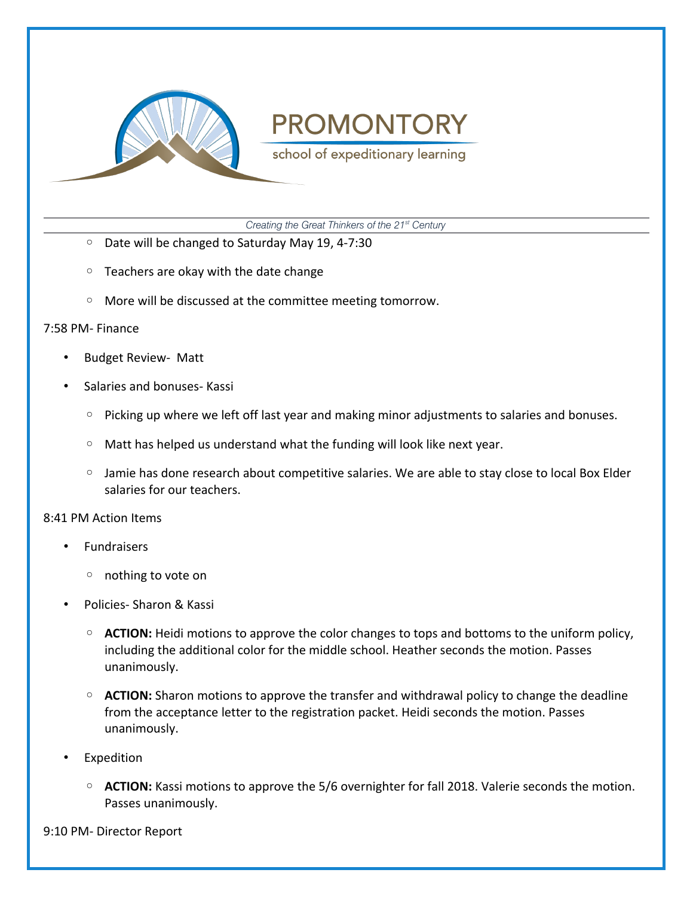

school of expeditionary learning

*Creating the Great Thinkers of the 21st Century*

- Date will be changed to Saturday May 19, 4-7:30
- Teachers are okay with the date change
- More will be discussed at the committee meeting tomorrow.

#### 7:58 PM- Finance

- Budget Review- Matt
- Salaries and bonuses- Kassi
	- Picking up where we left off last year and making minor adjustments to salaries and bonuses.
	- Matt has helped us understand what the funding will look like next year.
	- Jamie has done research about competitive salaries. We are able to stay close to local Box Elder salaries for our teachers.

#### 8:41 PM Action Items

- Fundraisers
	- nothing to vote on
- Policies- Sharon & Kassi
	- **ACTION:** Heidi motions to approve the color changes to tops and bottoms to the uniform policy, including the additional color for the middle school. Heather seconds the motion. Passes unanimously.
	- **ACTION:** Sharon motions to approve the transfer and withdrawal policy to change the deadline from the acceptance letter to the registration packet. Heidi seconds the motion. Passes unanimously.
- **Expedition** 
	- **ACTION:** Kassi motions to approve the 5/6 overnighter for fall 2018. Valerie seconds the motion. Passes unanimously.

9:10 PM- Director Report